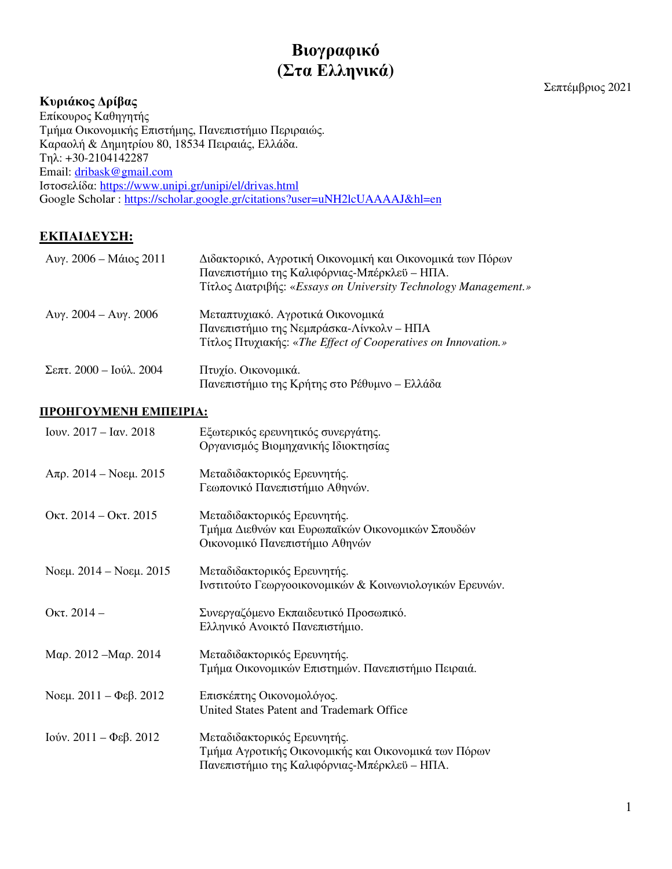# **Βιογραφικό (Στα Ελληνικά)**

# **Κυριάκος Δρίβας**

Σεπτέμβριος 2021

Επίκουρος Καθηγητής Τμήμα Οικονομικής Επιστήμης, Πανεπιστήμιο Περιραιώς. Καραολή & Δημητρίου 80, 18534 Πειραιάς, Ελλάδα. Τηλ: +30-2104142287 Email: dribask@gmail.com Ιστοσελίδα: https://www.unipi.gr/unipi/el/drivas.html Google Scholar : https://scholar.google.gr/citations?user=uNH2lcUAAAAJ&hl=en

# **ΕΚΠΑΙΔΕΥΣΗ:**

| Avγ. 2006 – Máιος 2011          | Διδακτορικό, Αγροτική Οικονομική και Οικονομικά των Πόρων<br>Πανεπιστήμιο της Καλιφόρνιας-Μπέρκλεϋ – ΗΠΑ.<br>Τίτλος Διατριβής: «Essays on University Technology Management.» |
|---------------------------------|------------------------------------------------------------------------------------------------------------------------------------------------------------------------------|
| Aυγ. 2004 – Aυγ. 2006           | Μεταπτυχιακό. Αγροτικά Οικονομικά<br>Πανεπιστήμιο της Νεμπράσκα-Λίνκολν - ΗΠΑ<br>Τίτλος Πτυχιακής: «The Effect of Cooperatives on Innovation.»                               |
| $\Sigma$ επτ. 2000 – Ιούλ. 2004 | Πτυχίο. Οικονομικά.<br>Πανεπιστήμιο της Κρήτης στο Ρέθυμνο – Ελλάδα                                                                                                          |

# **ΠΡΟΗΓΟΥΜΕΝΗ ΕΜΠΕΙΡΙΑ:**

| Iovv. $2017 - \text{Iα}$ ν. $2018$        | Εξωτερικός ερευνητικός συνεργάτης.<br>Οργανισμός Βιομηχανικής Ιδιοκτησίας                                                           |
|-------------------------------------------|-------------------------------------------------------------------------------------------------------------------------------------|
| $A\pi$ ρ. 2014 – Νοεμ. 2015               | Μεταδιδακτορικός Ερευνητής.<br>Γεωπονικό Πανεπιστήμιο Αθηνών.                                                                       |
| OKT. $2014 -$ OKT. $2015$                 | Μεταδιδακτορικός Ερευνητής.<br>Τμήμα Διεθνών και Ευρωπαϊκών Οικονομικών Σπουδών<br>Οικονομικό Πανεπιστήμιο Αθηνών                   |
| Noεμ. 2014 – Noεμ. 2015                   | Μεταδιδακτορικός Ερευνητής.<br>Ινστιτούτο Γεωργοοικονομικών & Κοινωνιολογικών Ερευνών.                                              |
| Οκτ. $2014-$                              | Συνεργαζόμενο Εκπαιδευτικό Προσωπικό.<br>Ελληνικό Ανοικτό Πανεπιστήμιο.                                                             |
| Mαρ. 2012 – Μαρ. 2014                     | Μεταδιδακτορικός Ερευνητής.<br>Τμήμα Οικονομικών Επιστημών. Πανεπιστήμιο Πειραιά.                                                   |
| Noεμ. $2011 - \Phi$ εβ. 2012              | Επισκέπτης Οικονομολόγος.<br>United States Patent and Trademark Office                                                              |
| Iούν. $2011 - \Phi \epsilon \beta$ . 2012 | Μεταδιδακτορικός Ερευνητής.<br>Τμήμα Αγροτικής Οικονομικής και Οικονομικά των Πόρων<br>Πανεπιστήμιο της Καλιφόρνιας-Μπέρκλεϋ - ΗΠΑ. |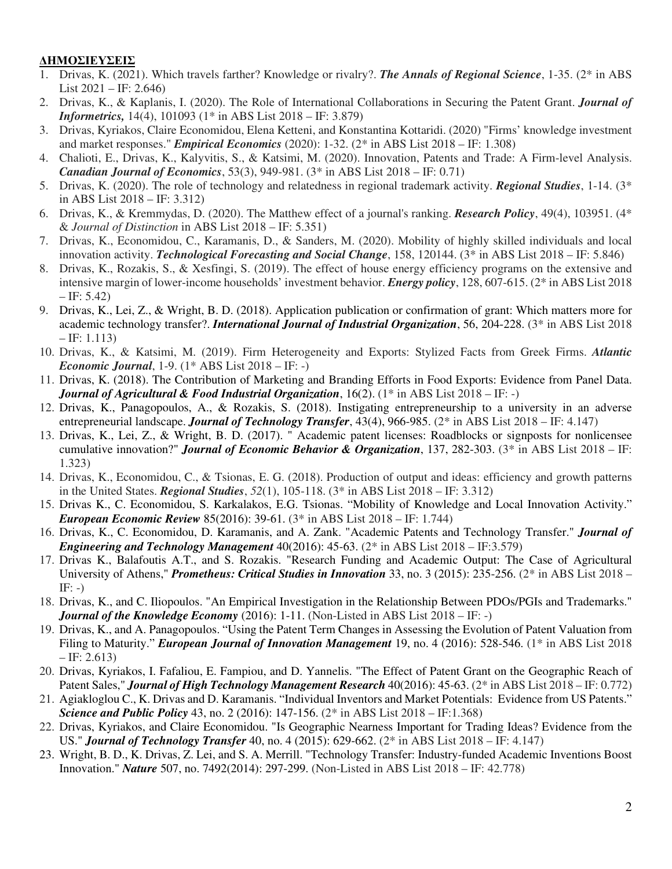# **ΔΗΜΟΣΙΕΥΣΕΙΣ**

- 1. Drivas, K. (2021). Which travels farther? Knowledge or rivalry?. *The Annals of Regional Science*, 1-35. (2\* in ABS List 2021 – IF: 2.646)
- 2. Drivas, K., & Kaplanis, I. (2020). The Role of International Collaborations in Securing the Patent Grant. *Journal of Informetrics,* 14(4), 101093 (1\* in ABS List 2018 – IF: 3.879)
- 3. Drivas, Kyriakos, Claire Economidou, Elena Ketteni, and Konstantina Kottaridi. (2020) "Firms' knowledge investment and market responses." *Empirical Economics* (2020): 1-32. (2\* in ABS List 2018 – IF: 1.308)
- 4. Chalioti, E., Drivas, K., Kalyvitis, S., & Katsimi, M. (2020). Innovation, Patents and Trade: A Firm-level Analysis. *Canadian Journal of Economics*, 53(3), 949-981. (3\* in ABS List 2018 – IF: 0.71)
- 5. Drivas, K. (2020). The role of technology and relatedness in regional trademark activity. *Regional Studies*, 1-14. (3\* in ABS List 2018 – IF: 3.312)
- 6. Drivas, K., & Kremmydas, D. (2020). The Matthew effect of a journal's ranking. *Research Policy*, 49(4), 103951. (4\* & *Journal of Distinction* in ABS List 2018 – IF: 5.351)
- 7. Drivas, K., Economidou, C., Karamanis, D., & Sanders, M. (2020). Mobility of highly skilled individuals and local innovation activity. *Technological Forecasting and Social Change*, 158, 120144. (3\* in ABS List 2018 – IF: 5.846)
- 8. Drivas, K., Rozakis, S., & Xesfingi, S. (2019). The effect of house energy efficiency programs on the extensive and intensive margin of lower-income households' investment behavior. *Energy policy*, 128, 607-615. (2\* in ABS List 2018  $-$  IF: 5.42)
- 9. Drivas, K., Lei, Z., & Wright, B. D. (2018). Application publication or confirmation of grant: Which matters more for academic technology transfer?. *International Journal of Industrial Organization*, 56, 204-228. (3\* in ABS List 2018  $-$  IF: 1.113)
- 10. Drivas, K., & Katsimi, M. (2019). Firm Heterogeneity and Exports: Stylized Facts from Greek Firms. *Atlantic Economic Journal*, 1-9. (1\* ABS List 2018 – IF: -)
- 11. Drivas, K. (2018). The Contribution of Marketing and Branding Efforts in Food Exports: Evidence from Panel Data. *Journal of Agricultural & Food Industrial Organization*, 16(2). (1\* in ABS List 2018 – IF: -)
- 12. Drivas, K., Panagopoulos, A., & Rozakis, S. (2018). Instigating entrepreneurship to a university in an adverse entrepreneurial landscape. *Journal of Technology Transfer*, 43(4), 966-985. (2\* in ABS List 2018 – IF: 4.147)
- 13. Drivas, K., Lei, Z., & Wright, B. D. (2017). " Academic patent licenses: Roadblocks or signposts for nonlicensee cumulative innovation?" *Journal of Economic Behavior & Organization*, 137, 282-303. (3\* in ABS List 2018 – IF: 1.323)
- 14. Drivas, K., Economidou, C., & Tsionas, E. G. (2018). Production of output and ideas: efficiency and growth patterns in the United States. *Regional Studies*, *52*(1), 105-118. (3\* in ABS List 2018 – IF: 3.312)
- 15. Drivas K., C. Economidou, S. Karkalakos, E.G. Tsionas. "Mobility of Knowledge and Local Innovation Activity." *European Economic Review* 85(2016): 39-61. (3\* in ABS List 2018 – IF: 1.744)
- 16. Drivas, K., C. Economidou, D. Karamanis, and A. Zank. "Academic Patents and Technology Transfer." *Journal of Engineering and Technology Management* 40(2016): 45-63. (2\* in ABS List 2018 – IF:3.579)
- 17. Drivas K., Balafoutis A.T., and S. Rozakis. "Research Funding and Academic Output: The Case of Agricultural University of Athens," *Prometheus: Critical Studies in Innovation* 33, no. 3 (2015): 235-256. (2\* in ABS List 2018 –  $IF: -)$
- 18. Drivas, K., and C. Iliopoulos. "An Empirical Investigation in the Relationship Between PDOs/PGIs and Trademarks." *Journal of the Knowledge Economy* (2016): 1-11. (Non-Listed in ABS List 2018 – IF: -)
- 19. Drivas, K., and A. Panagopoulos. "Using the Patent Term Changes in Assessing the Evolution of Patent Valuation from Filing to Maturity." *European Journal of Innovation Management* 19, no. 4 (2016): 528-546. (1\* in ABS List 2018  $-$  IF: 2.613)
- 20. Drivas, Kyriakos, I. Fafaliou, E. Fampiou, and D. Yannelis. "The Effect of Patent Grant on the Geographic Reach of Patent Sales," *Journal of High Technology Management Research* 40(2016): 45-63. (2\* in ABS List 2018 – IF: 0.772)
- 21. Agiakloglou C., K. Drivas and D. Karamanis. "Individual Inventors and Market Potentials: Evidence from US Patents." *Science and Public Policy* 43, no. 2 (2016): 147-156. (2\* in ABS List 2018 – IF:1.368)
- 22. Drivas, Kyriakos, and Claire Economidou. "Is Geographic Nearness Important for Trading Ideas? Evidence from the US." *Journal of Technology Transfer* 40, no. 4 (2015): 629-662. (2\* in ABS List 2018 – IF: 4.147)
- 23. Wright, B. D., K. Drivas, Z. Lei, and S. A. Merrill. "Technology Transfer: Industry-funded Academic Inventions Boost Innovation." *Nature* 507, no. 7492(2014): 297-299. (Non-Listed in ABS List 2018 – IF: 42.778)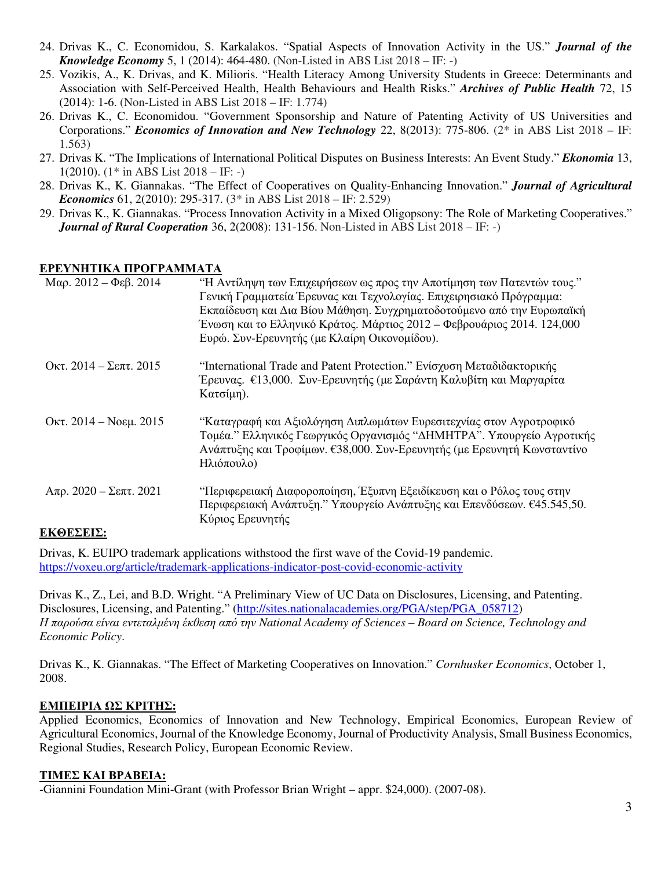- 24. Drivas K., C. Economidou, S. Karkalakos. "Spatial Aspects of Innovation Activity in the US." *Journal of the Knowledge Economy* 5, 1 (2014): 464-480. (Non-Listed in ABS List 2018 – IF: -)
- 25. Vozikis, A., K. Drivas, and K. Milioris. "Health Literacy Among University Students in Greece: Determinants and Association with Self-Perceived Health, Health Behaviours and Health Risks." *Archives of Public Health* 72, 15 (2014): 1-6. (Non-Listed in ABS List 2018 – IF: 1.774)
- 26. Drivas K., C. Economidou. "Government Sponsorship and Nature of Patenting Activity of US Universities and Corporations." *Economics of Innovation and New Technology* 22, 8(2013): 775-806. (2\* in ABS List 2018 – IF: 1.563)
- 27. Drivas K. "The Implications of International Political Disputes on Business Interests: An Event Study." *Ekonomia* 13, 1(2010).  $(1^*$  in ABS List 2018 – IF: -)
- 28. Drivas K., K. Giannakas. "The Effect of Cooperatives on Quality-Enhancing Innovation." *Journal of Agricultural Economics* 61, 2(2010): 295-317. (3\* in ABS List 2018 – IF: 2.529)
- 29. Drivas K., K. Giannakas. "Process Innovation Activity in a Mixed Oligopsony: The Role of Marketing Cooperatives." *Journal of Rural Cooperation* 36, 2(2008): 131-156. Non-Listed in ABS List 2018 – IF: -)

#### **ΕΡΕΥΝΗΤΙΚΑ ΠΡΟΓΡΑΜΜΑΤΑ**

| Mαρ. 2012 – Φεβ. 2014       | "Η Αντίληψη των Επιχειρήσεων ως προς την Αποτίμηση των Πατεντών τους."<br>Γενική Γραμματεία Έρευνας και Τεχνολογίας. Επιχειρησιακό Πρόγραμμα:<br>Εκπαίδευση και Δια Βίου Μάθηση. Συγχρηματοδοτούμενο από την Ευρωπαϊκή<br>Ένωση και το Ελληνικό Κράτος. Μάρτιος 2012 – Φεβρουάριος 2014. 124,000<br>Ευρώ. Συν-Ερευνητής (με Κλαίρη Οικονομίδου). |
|-----------------------------|--------------------------------------------------------------------------------------------------------------------------------------------------------------------------------------------------------------------------------------------------------------------------------------------------------------------------------------------------|
| Oκτ. 2014 – Σεπτ. 2015      | "International Trade and Patent Protection." Ενίσχυση Μεταδιδακτορικής<br>Έρευνας. €13,000. Συν-Ερευνητής (με Σαράντη Καλυβίτη και Μαργαρίτα<br>Κατσίμη).                                                                                                                                                                                        |
| Οκτ. 2014 – Νοεμ. 2015      | "Καταγραφή και Αξιολόγηση Διπλωμάτων Ευρεσιτεχνίας στον Αγροτροφικό<br>Τομέα." Ελληνικός Γεωργικός Οργανισμός "ΔΗΜΗΤΡΑ". Υπουργείο Αγροτικής<br>Ανάπτυξης και Τροφίμων. €38,000. Συν-Ερευνητής (με Ερευνητή Κωνσταντίνο<br>Ηλιόπουλο)                                                                                                            |
| $A\pi$ ρ. 2020 – Σεπτ. 2021 | "Περιφερειακή Διαφοροποίηση, Έξυπνη Εξειδίκευση και ο Ρόλος τους στην<br>Περιφερειακή Ανάπτυξη." Υπουργείο Ανάπτυξης και Επενδύσεων. €45.545,50.<br>Κύριος Ερευνητής                                                                                                                                                                             |
| ELZAEVEIV.                  |                                                                                                                                                                                                                                                                                                                                                  |

### **ΕΚΘΕΣΕΙΣ:**

Drivas, K. EUIPO trademark applications withstood the first wave of the Covid-19 pandemic. https://voxeu.org/article/trademark-applications-indicator-post-covid-economic-activity

Drivas K., Z., Lei, and B.D. Wright. "A Preliminary View of UC Data on Disclosures, Licensing, and Patenting. Disclosures, Licensing, and Patenting." (http://sites.nationalacademies.org/PGA/step/PGA\_058712) *Η παρούσα είναι εντεταλμένη έκθεση από την National Academy of Sciences – Board on Science, Technology and Economic Policy*.

Drivas K., K. Giannakas. "The Effect of Marketing Cooperatives on Innovation." *Cornhusker Economics*, October 1, 2008.

### **ΕΜΠΕΙΡΙΑ ΩΣ ΚΡΙΤΗΣ:**

Applied Economics, Economics of Innovation and New Technology, Empirical Economics, European Review of Agricultural Economics, Journal of the Knowledge Economy, Journal of Productivity Analysis, Small Business Economics, Regional Studies, Research Policy, European Economic Review.

### **ΤΙΜΕΣ ΚΑΙ ΒΡΑΒΕΙΑ:**

-Giannini Foundation Mini-Grant (with Professor Brian Wright – appr. \$24,000). (2007-08).